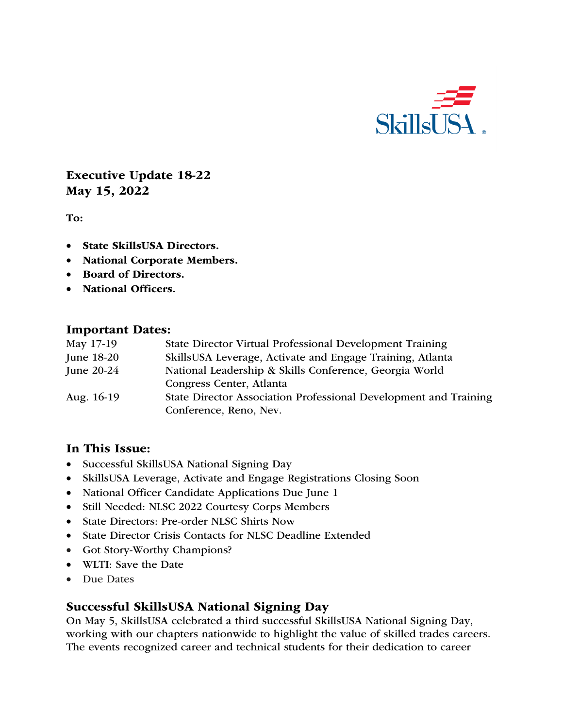

Executive Update 18-22 May 15, 2022

To:

- State SkillsUSA Directors.
- National Corporate Members.
- Board of Directors.
- National Officers.

#### Important Dates:

| May 17-19    | State Director Virtual Professional Development Training         |
|--------------|------------------------------------------------------------------|
| June 18-20   | SkillsUSA Leverage, Activate and Engage Training, Atlanta        |
| June $20-24$ | National Leadership & Skills Conference, Georgia World           |
|              | Congress Center, Atlanta                                         |
| Aug. 16-19   | State Director Association Professional Development and Training |
|              | Conference, Reno, Nev.                                           |

#### In This Issue:

- Successful SkillsUSA National Signing Day
- SkillsUSA Leverage, Activate and Engage Registrations Closing Soon
- National Officer Candidate Applications Due June 1
- Still Needed: NLSC 2022 Courtesy Corps Members
- State Directors: Pre-order NLSC Shirts Now
- State Director Crisis Contacts for NLSC Deadline Extended
- Got Story-Worthy Champions?
- WLTI: Save the Date
- Due Dates

#### Successful SkillsUSA National Signing Day

On May 5, SkillsUSA celebrated a third successful SkillsUSA National Signing Day, working with our chapters nationwide to highlight the value of skilled trades careers. The events recognized career and technical students for their dedication to career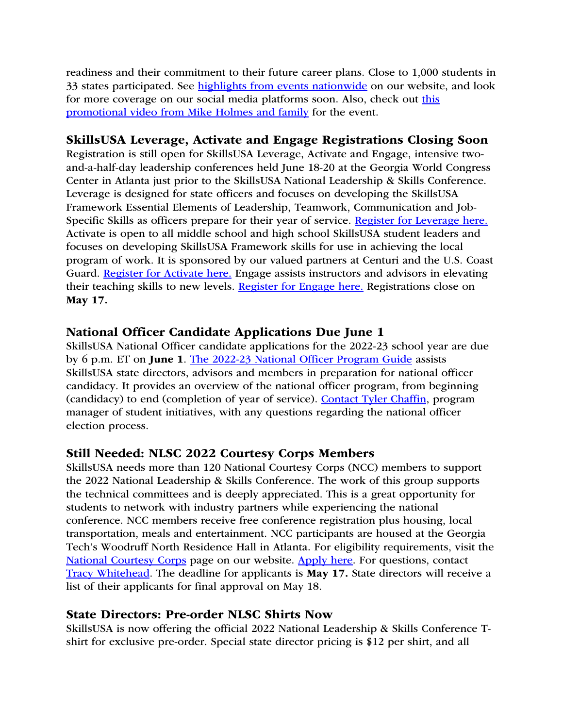readiness and their commitment to their future career plans. Close to 1,000 students in 33 states participated. See highlights from events nationwide on our website, and look for more coverage on our social media platforms soon. Also, check out this promotional video from Mike Holmes and family for the event.

#### SkillsUSA Leverage, Activate and Engage Registrations Closing Soon

Registration is still open for SkillsUSA Leverage, Activate and Engage, intensive twoand-a-half-day leadership conferences held June 18-20 at the Georgia World Congress Center in Atlanta just prior to the SkillsUSA National Leadership & Skills Conference. Leverage is designed for state officers and focuses on developing the SkillsUSA Framework Essential Elements of Leadership, Teamwork, Communication and Job-Specific Skills as officers prepare for their year of service. Register for Leverage here. Activate is open to all middle school and high school SkillsUSA student leaders and focuses on developing SkillsUSA Framework skills for use in achieving the local program of work. It is sponsored by our valued partners at Centuri and the U.S. Coast Guard. Register for Activate here. Engage assists instructors and advisors in elevating their teaching skills to new levels. Register for Engage here. Registrations close on May 17.

# National Officer Candidate Applications Due June 1

SkillsUSA National Officer candidate applications for the 2022-23 school year are due by 6 p.m. ET on June 1. The 2022-23 National Officer Program Guide assists SkillsUSA state directors, advisors and members in preparation for national officer candidacy. It provides an overview of the national officer program, from beginning (candidacy) to end (completion of year of service). Contact Tyler Chaffin, program manager of student initiatives, with any questions regarding the national officer election process.

# Still Needed: NLSC 2022 Courtesy Corps Members

SkillsUSA needs more than 120 National Courtesy Corps (NCC) members to support the 2022 National Leadership & Skills Conference. The work of this group supports the technical committees and is deeply appreciated. This is a great opportunity for students to network with industry partners while experiencing the national conference. NCC members receive free conference registration plus housing, local transportation, meals and entertainment. NCC participants are housed at the Georgia Tech's Woodruff North Residence Hall in Atlanta. For eligibility requirements, visit the National Courtesy Corps page on our website. Apply here. For questions, contact Tracy Whitehead. The deadline for applicants is May 17. State directors will receive a list of their applicants for final approval on May 18.

#### State Directors: Pre-order NLSC Shirts Now

SkillsUSA is now offering the official 2022 National Leadership & Skills Conference Tshirt for exclusive pre-order. Special state director pricing is \$12 per shirt, and all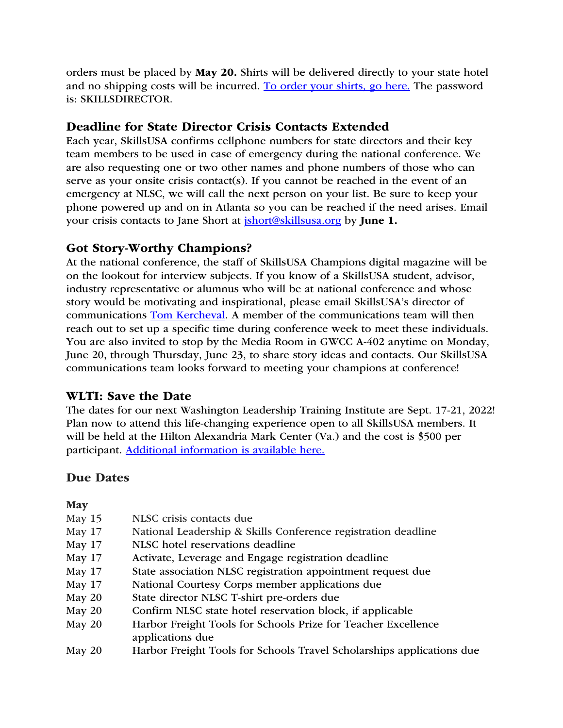orders must be placed by May 20. Shirts will be delivered directly to your state hotel and no shipping costs will be incurred. To order your shirts, go here. The password is: SKILLSDIRECTOR.

# Deadline for State Director Crisis Contacts Extended

Each year, SkillsUSA confirms cellphone numbers for state directors and their key team members to be used in case of emergency during the national conference. We are also requesting one or two other names and phone numbers of those who can serve as your onsite crisis contact(s). If you cannot be reached in the event of an emergency at NLSC, we will call the next person on your list. Be sure to keep your phone powered up and on in Atlanta so you can be reached if the need arises. Email your crisis contacts to Jane Short at *ishort@skillsusa.org* by **June 1.** 

# Got Story-Worthy Champions?

At the national conference, the staff of SkillsUSA Champions digital magazine will be on the lookout for interview subjects. If you know of a SkillsUSA student, advisor, industry representative or alumnus who will be at national conference and whose story would be motivating and inspirational, please email SkillsUSA's director of communications Tom Kercheval. A member of the communications team will then reach out to set up a specific time during conference week to meet these individuals. You are also invited to stop by the Media Room in GWCC A-402 anytime on Monday, June 20, through Thursday, June 23, to share story ideas and contacts. Our SkillsUSA communications team looks forward to meeting your champions at conference!

# WLTI: Save the Date

The dates for our next Washington Leadership Training Institute are Sept. 17-21, 2022! Plan now to attend this life-changing experience open to all SkillsUSA members. It will be held at the Hilton Alexandria Mark Center (Va.) and the cost is \$500 per participant. Additional information is available here.

# Due Dates

May

| ivia v             |                                                                                   |
|--------------------|-----------------------------------------------------------------------------------|
| <b>May 15</b>      | NLSC crisis contacts due                                                          |
| May 17             | National Leadership & Skills Conference registration deadline                     |
| May 17             | NLSC hotel reservations deadline                                                  |
| May 17             | Activate, Leverage and Engage registration deadline                               |
| May 17             | State association NLSC registration appointment request due                       |
| May 17             | National Courtesy Corps member applications due                                   |
| <b>May 20</b>      | State director NLSC T-shirt pre-orders due                                        |
| <b>May 20</b>      | Confirm NLSC state hotel reservation block, if applicable                         |
| May 20             | Harbor Freight Tools for Schools Prize for Teacher Excellence<br>applications due |
| $M_{2-1}$ $\Omega$ | Hackage Busielst Taala fan Calvaala Tussel. Calvalandsina annikaationald          |

May 20 Harbor Freight Tools for Schools Travel Scholarships applications due